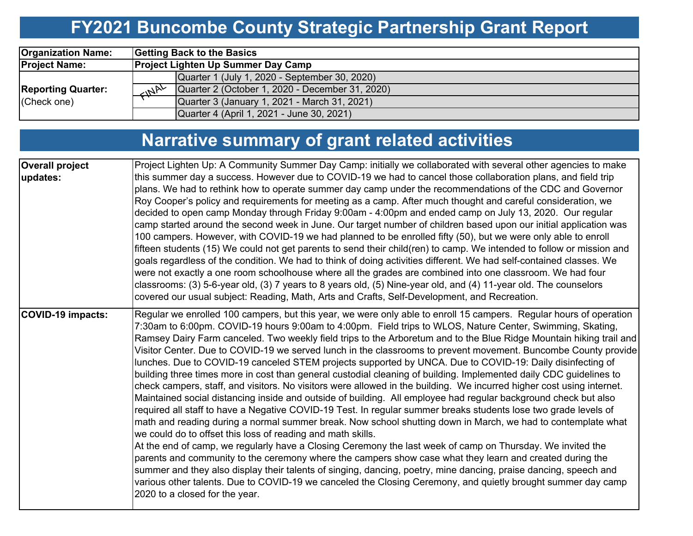## **FY2021 Buncombe County Strategic Partnership Grant Report**

| <b>Organization Name:</b> | <b>Getting Back to the Basics</b> |                                                 |  |  |
|---------------------------|-----------------------------------|-------------------------------------------------|--|--|
| <b>Project Name:</b>      |                                   | <b>Project Lighten Up Summer Day Camp</b>       |  |  |
|                           |                                   | Quarter 1 (July 1, 2020 - September 30, 2020)   |  |  |
| <b>Reporting Quarter:</b> | $M^{\mu\nu}$                      | Quarter 2 (October 1, 2020 - December 31, 2020) |  |  |
| (Check one)               |                                   | Quarter 3 (January 1, 2021 - March 31, 2021)    |  |  |
|                           |                                   | Quarter 4 (April 1, 2021 - June 30, 2021)       |  |  |

# **Narrative summary of grant related activities**

| <b>Overall project</b><br>updates: | Project Lighten Up: A Community Summer Day Camp: initially we collaborated with several other agencies to make<br>this summer day a success. However due to COVID-19 we had to cancel those collaboration plans, and field trip<br>plans. We had to rethink how to operate summer day camp under the recommendations of the CDC and Governor<br>Roy Cooper's policy and requirements for meeting as a camp. After much thought and careful consideration, we<br>decided to open camp Monday through Friday 9:00am - 4:00pm and ended camp on July 13, 2020. Our regular<br>camp started around the second week in June. Our target number of children based upon our initial application was<br>100 campers. However, with COVID-19 we had planned to be enrolled fifty (50), but we were only able to enroll<br>fifteen students (15) We could not get parents to send their child(ren) to camp. We intended to follow or mission and<br>goals regardless of the condition. We had to think of doing activities different. We had self-contained classes. We<br>were not exactly a one room schoolhouse where all the grades are combined into one classroom. We had four<br>classrooms: (3) 5-6-year old, (3) 7 years to 8 years old, (5) Nine-year old, and (4) 11-year old. The counselors<br>covered our usual subject: Reading, Math, Arts and Crafts, Self-Development, and Recreation.                                                                                                                                                                                                                                                                                                                                                            |
|------------------------------------|-----------------------------------------------------------------------------------------------------------------------------------------------------------------------------------------------------------------------------------------------------------------------------------------------------------------------------------------------------------------------------------------------------------------------------------------------------------------------------------------------------------------------------------------------------------------------------------------------------------------------------------------------------------------------------------------------------------------------------------------------------------------------------------------------------------------------------------------------------------------------------------------------------------------------------------------------------------------------------------------------------------------------------------------------------------------------------------------------------------------------------------------------------------------------------------------------------------------------------------------------------------------------------------------------------------------------------------------------------------------------------------------------------------------------------------------------------------------------------------------------------------------------------------------------------------------------------------------------------------------------------------------------------------------------------------------------------------------------------------------------------------|
| COVID-19 impacts:                  | Regular we enrolled 100 campers, but this year, we were only able to enroll 15 campers. Regular hours of operation<br>7:30am to 6:00pm. COVID-19 hours 9:00am to 4:00pm. Field trips to WLOS, Nature Center, Swimming, Skating,<br>Ramsey Dairy Farm canceled. Two weekly field trips to the Arboretum and to the Blue Ridge Mountain hiking trail and<br>Visitor Center. Due to COVID-19 we served lunch in the classrooms to prevent movement. Buncombe County provide<br>lunches. Due to COVID-19 canceled STEM projects supported by UNCA. Due to COVID-19: Daily disinfecting of<br>building three times more in cost than general custodial cleaning of building. Implemented daily CDC guidelines to<br>check campers, staff, and visitors. No visitors were allowed in the building. We incurred higher cost using internet.<br>Maintained social distancing inside and outside of building. All employee had regular background check but also<br>required all staff to have a Negative COVID-19 Test. In regular summer breaks students lose two grade levels of<br>math and reading during a normal summer break. Now school shutting down in March, we had to contemplate what<br>we could do to offset this loss of reading and math skills.<br>At the end of camp, we regularly have a Closing Ceremony the last week of camp on Thursday. We invited the<br>parents and community to the ceremony where the campers show case what they learn and created during the<br>summer and they also display their talents of singing, dancing, poetry, mine dancing, praise dancing, speech and<br>various other talents. Due to COVID-19 we canceled the Closing Ceremony, and quietly brought summer day camp<br>2020 to a closed for the year. |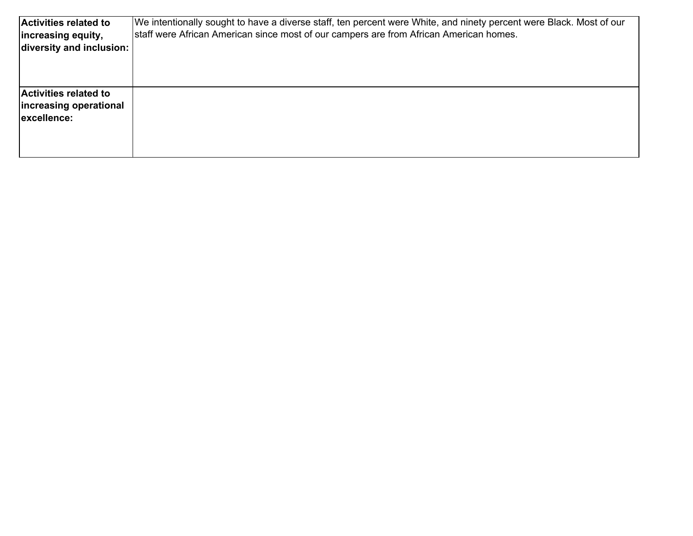| Activities related to<br>increasing equity,<br>diversity and inclusion: | We intentionally sought to have a diverse staff, ten percent were White, and ninety percent were Black. Most of our<br>staff were African American since most of our campers are from African American homes. |
|-------------------------------------------------------------------------|---------------------------------------------------------------------------------------------------------------------------------------------------------------------------------------------------------------|
| <b>Activities related to</b><br>increasing operational<br>excellence:   |                                                                                                                                                                                                               |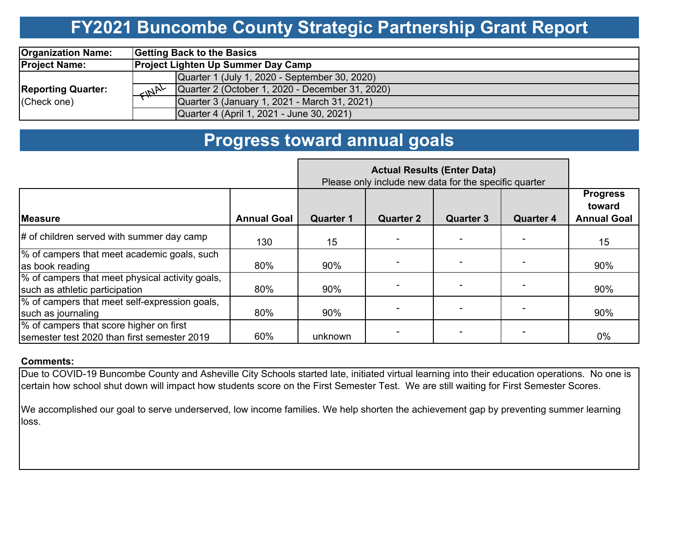### **FY2021 Buncombe County Strategic Partnership Grant Report**

| <b>Organization Name:</b>                | Getting Back to the Basics                                      |  |  |
|------------------------------------------|-----------------------------------------------------------------|--|--|
| <b>Project Name:</b>                     | <b>Project Lighten Up Summer Day Camp</b>                       |  |  |
|                                          | Quarter 1 (July 1, 2020 - September 30, 2020)                   |  |  |
| <b>Reporting Quarter:</b><br>(Check one) | Quarter 2 (October 1, 2020 - December 31, 2020)<br>$M^{\mu\nu}$ |  |  |
|                                          | Quarter 3 (January 1, 2021 - March 31, 2021)                    |  |  |
|                                          | Quarter 4 (April 1, 2021 - June 30, 2021)                       |  |  |

### **Progress toward annual goals**

|                                                                                        | <b>Actual Results (Enter Data)</b><br>Please only include new data for the specific quarter |                  |                  |                  |                  |                                                 |
|----------------------------------------------------------------------------------------|---------------------------------------------------------------------------------------------|------------------|------------------|------------------|------------------|-------------------------------------------------|
| <b>IMeasure</b>                                                                        | <b>Annual Goal</b>                                                                          | <b>Quarter 1</b> | <b>Quarter 2</b> | <b>Quarter 3</b> | <b>Quarter 4</b> | <b>Progress</b><br>toward<br><b>Annual Goal</b> |
| $\#$ of children served with summer day camp                                           | 130                                                                                         | 15               |                  |                  |                  | 15                                              |
| % of campers that meet academic goals, such<br>as book reading                         | 80%                                                                                         | 90%              |                  |                  |                  | 90%                                             |
| % of campers that meet physical activity goals,<br>such as athletic participation      | 80%                                                                                         | 90%              |                  |                  |                  | 90%                                             |
| % of campers that meet self-expression goals,<br>such as journaling                    | 80%                                                                                         | 90%              |                  |                  |                  | 90%                                             |
| % of campers that score higher on first<br>semester test 2020 than first semester 2019 | 60%                                                                                         | unknown          |                  |                  |                  | $0\%$                                           |

#### **Comments:**

Due to COVID-19 Buncombe County and Asheville City Schools started late, initiated virtual learning into their education operations. No one is certain how school shut down will impact how students score on the First Semester Test. We are still waiting for First Semester Scores.

We accomplished our goal to serve underserved, low income families. We help shorten the achievement gap by preventing summer learning loss.